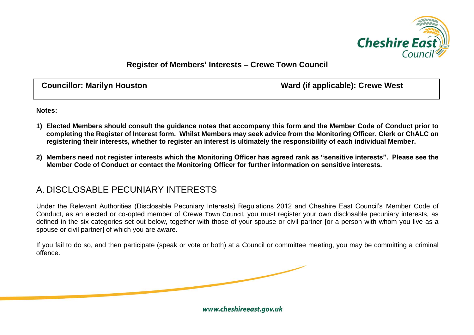

## **Register of Members' Interests – Crewe Town Council**

**Councillor: Marilyn Houston Ward (if applicable): Crewe West**

**Notes:**

- **1) Elected Members should consult the guidance notes that accompany this form and the Member Code of Conduct prior to completing the Register of Interest form. Whilst Members may seek advice from the Monitoring Officer, Clerk or ChALC on registering their interests, whether to register an interest is ultimately the responsibility of each individual Member.**
- **2) Members need not register interests which the Monitoring Officer has agreed rank as "sensitive interests". Please see the Member Code of Conduct or contact the Monitoring Officer for further information on sensitive interests.**

## A. DISCLOSABLE PECUNIARY INTERESTS

Under the Relevant Authorities (Disclosable Pecuniary Interests) Regulations 2012 and Cheshire East Council's Member Code of Conduct, as an elected or co-opted member of Crewe Town Council, you must register your own disclosable pecuniary interests, as defined in the six categories set out below, together with those of your spouse or civil partner for a person with whom you live as a spouse or civil partner] of which you are aware.

If you fail to do so, and then participate (speak or vote or both) at a Council or committee meeting, you may be committing a criminal offence.

www.cheshireeast.gov.uk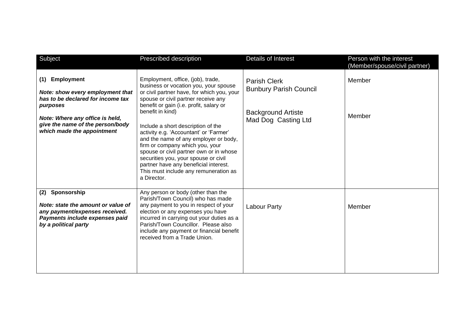| Subject                                                                                                                                                                                                     | Prescribed description                                                                                                                                                                                                                                                                                                                                                                                                                                                                                                                                                         | Details of Interest                                                                                      | Person with the interest<br>(Member/spouse/civil partner) |
|-------------------------------------------------------------------------------------------------------------------------------------------------------------------------------------------------------------|--------------------------------------------------------------------------------------------------------------------------------------------------------------------------------------------------------------------------------------------------------------------------------------------------------------------------------------------------------------------------------------------------------------------------------------------------------------------------------------------------------------------------------------------------------------------------------|----------------------------------------------------------------------------------------------------------|-----------------------------------------------------------|
| Employment<br>(1)<br>Note: show every employment that<br>has to be declared for income tax<br>purposes<br>Note: Where any office is held,<br>give the name of the person/body<br>which made the appointment | Employment, office, (job), trade,<br>business or vocation you, your spouse<br>or civil partner have, for which you, your<br>spouse or civil partner receive any<br>benefit or gain (i.e. profit, salary or<br>benefit in kind)<br>Include a short description of the<br>activity e.g. 'Accountant' or 'Farmer'<br>and the name of any employer or body,<br>firm or company which you, your<br>spouse or civil partner own or in whose<br>securities you, your spouse or civil<br>partner have any beneficial interest.<br>This must include any remuneration as<br>a Director. | <b>Parish Clerk</b><br><b>Bunbury Parish Council</b><br><b>Background Artiste</b><br>Mad Dog Casting Ltd | Member<br>Member                                          |
| Sponsorship<br>(2)<br>Note: state the amount or value of<br>any payment/expenses received.<br>Payments include expenses paid<br>by a political party                                                        | Any person or body (other than the<br>Parish/Town Council) who has made<br>any payment to you in respect of your<br>election or any expenses you have<br>incurred in carrying out your duties as a<br>Parish/Town Councillor. Please also<br>include any payment or financial benefit<br>received from a Trade Union.                                                                                                                                                                                                                                                          | Labour Party                                                                                             | Member                                                    |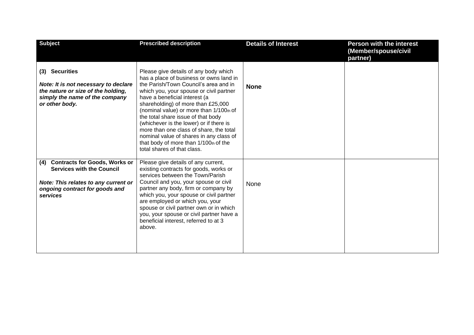| <b>Subject</b>                                                                                                                                                        | <b>Prescribed description</b>                                                                                                                                                                                                                                                                                                                                                                                                                                                                                                         | <b>Details of Interest</b> | <b>Person with the interest</b><br>(Member/spouse/civil<br>partner) |
|-----------------------------------------------------------------------------------------------------------------------------------------------------------------------|---------------------------------------------------------------------------------------------------------------------------------------------------------------------------------------------------------------------------------------------------------------------------------------------------------------------------------------------------------------------------------------------------------------------------------------------------------------------------------------------------------------------------------------|----------------------------|---------------------------------------------------------------------|
| (3) Securities<br>Note: It is not necessary to declare<br>the nature or size of the holding,<br>simply the name of the company<br>or other body.                      | Please give details of any body which<br>has a place of business or owns land in<br>the Parish/Town Council's area and in<br>which you, your spouse or civil partner<br>have a beneficial interest (a<br>shareholding) of more than £25,000<br>(nominal value) or more than 1/100th of<br>the total share issue of that body<br>(whichever is the lower) or if there is<br>more than one class of share, the total<br>nominal value of shares in any class of<br>that body of more than 1/100th of the<br>total shares of that class. | <b>None</b>                |                                                                     |
| <b>Contracts for Goods, Works or</b><br>(4)<br><b>Services with the Council</b><br>Note: This relates to any current or<br>ongoing contract for goods and<br>services | Please give details of any current,<br>existing contracts for goods, works or<br>services between the Town/Parish<br>Council and you, your spouse or civil<br>partner any body, firm or company by<br>which you, your spouse or civil partner<br>are employed or which you, your<br>spouse or civil partner own or in which<br>you, your spouse or civil partner have a<br>beneficial interest, referred to at 3<br>above.                                                                                                            | None                       |                                                                     |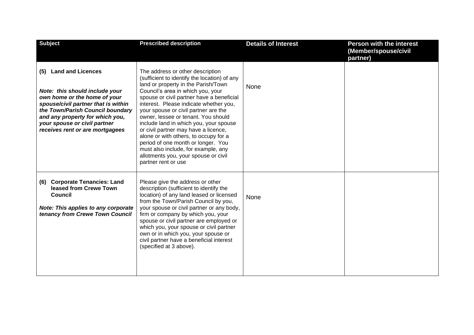| <b>Subject</b>                                                                                                                                                                                                                                                                     | <b>Prescribed description</b>                                                                                                                                                                                                                                                                                                                                                                                                                                                                                                                                                                             | <b>Details of Interest</b> | <b>Person with the interest</b><br>(Member/spouse/civil |
|------------------------------------------------------------------------------------------------------------------------------------------------------------------------------------------------------------------------------------------------------------------------------------|-----------------------------------------------------------------------------------------------------------------------------------------------------------------------------------------------------------------------------------------------------------------------------------------------------------------------------------------------------------------------------------------------------------------------------------------------------------------------------------------------------------------------------------------------------------------------------------------------------------|----------------------------|---------------------------------------------------------|
| <b>Land and Licences</b><br>(5)<br>Note: this should include your<br>own home or the home of your<br>spouse/civil partner that is within<br>the Town/Parish Council boundary<br>and any property for which you,<br>your spouse or civil partner<br>receives rent or are mortgagees | The address or other description<br>(sufficient to identify the location) of any<br>land or property in the Parish/Town<br>Council's area in which you, your<br>spouse or civil partner have a beneficial<br>interest. Please indicate whether you,<br>your spouse or civil partner are the<br>owner, lessee or tenant. You should<br>include land in which you, your spouse<br>or civil partner may have a licence,<br>alone or with others, to occupy for a<br>period of one month or longer. You<br>must also include, for example, any<br>allotments you, your spouse or civil<br>partner rent or use | None                       | partner)                                                |
| <b>Corporate Tenancies: Land</b><br>(6)<br>leased from Crewe Town<br><b>Council</b><br>Note: This applies to any corporate<br>tenancy from Crewe Town Council                                                                                                                      | Please give the address or other<br>description (sufficient to identify the<br>location) of any land leased or licensed<br>from the Town/Parish Council by you,<br>your spouse or civil partner or any body,<br>firm or company by which you, your<br>spouse or civil partner are employed or<br>which you, your spouse or civil partner<br>own or in which you, your spouse or<br>civil partner have a beneficial interest<br>(specified at 3 above).                                                                                                                                                    | None                       |                                                         |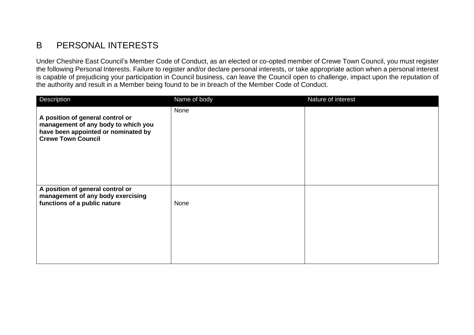## B PERSONAL INTERESTS

Under Cheshire East Council's Member Code of Conduct, as an elected or co-opted member of Crewe Town Council, you must register the following Personal Interests. Failure to register and/or declare personal interests, or take appropriate action when a personal interest is capable of prejudicing your participation in Council business, can leave the Council open to challenge, impact upon the reputation of the authority and result in a Member being found to be in breach of the Member Code of Conduct.

| Description                                                                                                                                 | Name of body | Nature of interest |
|---------------------------------------------------------------------------------------------------------------------------------------------|--------------|--------------------|
| A position of general control or<br>management of any body to which you<br>have been appointed or nominated by<br><b>Crewe Town Council</b> | None         |                    |
| A position of general control or<br>management of any body exercising<br>functions of a public nature                                       | None         |                    |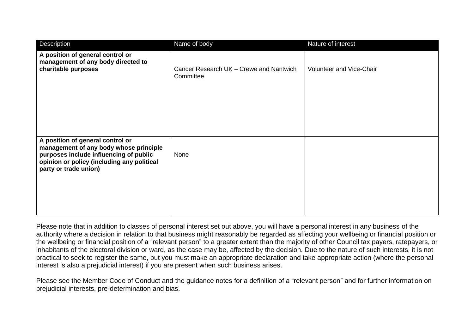| Description                                                                                                                                                                                 | Name of body                                         | Nature of interest       |
|---------------------------------------------------------------------------------------------------------------------------------------------------------------------------------------------|------------------------------------------------------|--------------------------|
| A position of general control or<br>management of any body directed to<br>charitable purposes                                                                                               | Cancer Research UK - Crewe and Nantwich<br>Committee | Volunteer and Vice-Chair |
| A position of general control or<br>management of any body whose principle<br>purposes include influencing of public<br>opinion or policy (including any political<br>party or trade union) | None                                                 |                          |

Please note that in addition to classes of personal interest set out above, you will have a personal interest in any business of the authority where a decision in relation to that business might reasonably be regarded as affecting your wellbeing or financial position or the wellbeing or financial position of a "relevant person" to a greater extent than the majority of other Council tax payers, ratepayers, or inhabitants of the electoral division or ward, as the case may be, affected by the decision. Due to the nature of such interests, it is not practical to seek to register the same, but you must make an appropriate declaration and take appropriate action (where the personal interest is also a prejudicial interest) if you are present when such business arises.

Please see the Member Code of Conduct and the guidance notes for a definition of a "relevant person" and for further information on prejudicial interests, pre-determination and bias.